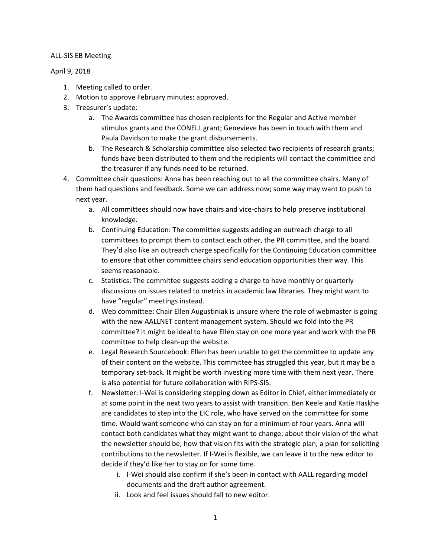## ALL-SIS EB Meeting

## April 9, 2018

- 1. Meeting called to order.
- 2. Motion to approve February minutes: approved.
- 3. Treasurer's update:
	- a. The Awards committee has chosen recipients for the Regular and Active member stimulus grants and the CONELL grant; Genevieve has been in touch with them and Paula Davidson to make the grant disbursements.
	- b. The Research & Scholarship committee also selected two recipients of research grants; funds have been distributed to them and the recipients will contact the committee and the treasurer if any funds need to be returned.
- 4. Committee chair questions: Anna has been reaching out to all the committee chairs. Many of them had questions and feedback. Some we can address now; some way may want to push to next year.
	- a. All committees should now have chairs and vice-chairs to help preserve institutional knowledge.
	- b. Continuing Education: The committee suggests adding an outreach charge to all committees to prompt them to contact each other, the PR committee, and the board. They'd also like an outreach charge specifically for the Continuing Education committee to ensure that other committee chairs send education opportunities their way. This seems reasonable.
	- c. Statistics: The committee suggests adding a charge to have monthly or quarterly discussions on issues related to metrics in academic law libraries. They might want to have "regular" meetings instead.
	- d. Web committee: Chair Ellen Augustiniak is unsure where the role of webmaster is going with the new AALLNET content management system. Should we fold into the PR committee? It might be ideal to have Ellen stay on one more year and work with the PR committee to help clean-up the website.
	- e. Legal Research Sourcebook: Ellen has been unable to get the committee to update any of their content on the website. This committee has struggled this year, but it may be a temporary set-back. It might be worth investing more time with them next year. There is also potential for future collaboration with RIPS-SIS.
	- f. Newsletter: I-Wei is considering stepping down as Editor in Chief, either immediately or at some point in the next two years to assist with transition. Ben Keele and Katie Haskhe are candidates to step into the EIC role, who have served on the committee for some time. Would want someone who can stay on for a minimum of four years. Anna will contact both candidates what they might want to change; about their vision of the what the newsletter should be; how that vision fits with the strategic plan; a plan for soliciting contributions to the newsletter. If I-Wei is flexible, we can leave it to the new editor to decide if they'd like her to stay on for some time.
		- i. I-Wei should also confirm if she's been in contact with AALL regarding model documents and the draft author agreement.
		- ii. Look and feel issues should fall to new editor.